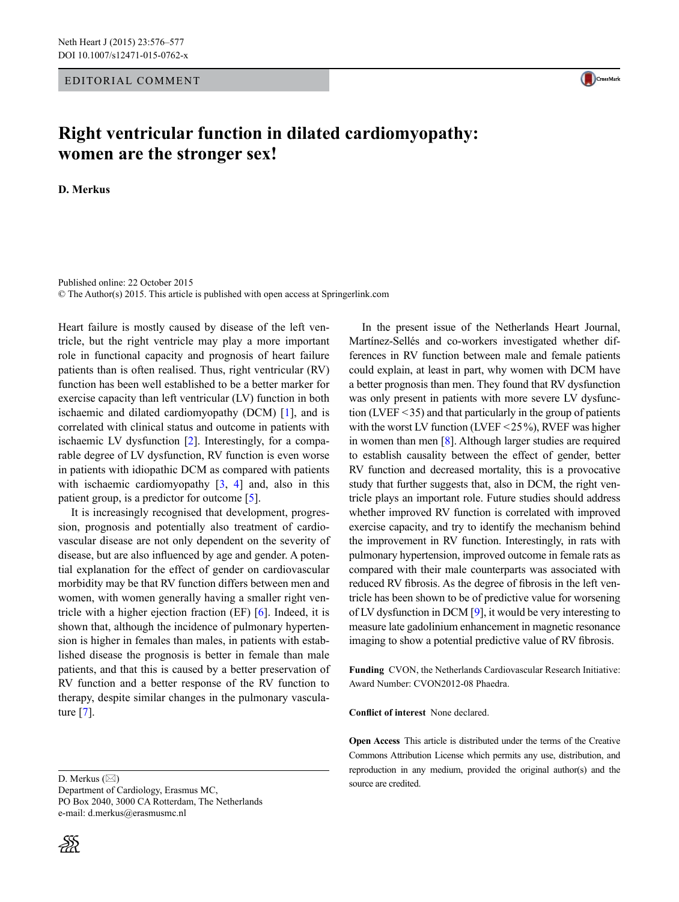## Editorial Comment



## **Right ventricular function in dilated cardiomyopathy: women are the stronger sex!**

**D. Merkus**

Published online: 22 October 2015 © The Author(s) 2015. This article is published with open access at Springerlink.com

Heart failure is mostly caused by disease of the left ventricle, but the right ventricle may play a more important role in functional capacity and prognosis of heart failure patients than is often realised. Thus, right ventricular (RV) function has been well established to be a better marker for exercise capacity than left ventricular (LV) function in both ischaemic and dilated cardiomyopathy (DCM) [[1\]](#page-1-2), and is correlated with clinical status and outcome in patients with ischaemic LV dysfunction [[2\]](#page-1-3). Interestingly, for a comparable degree of LV dysfunction, RV function is even worse in patients with idiopathic DCM as compared with patients with ischaemic cardiomyopathy  $[3, 4]$  $[3, 4]$  $[3, 4]$  $[3, 4]$  and, also in this patient group, is a predictor for outcome [\[5](#page-1-6)].

It is increasingly recognised that development, progression, prognosis and potentially also treatment of cardiovascular disease are not only dependent on the severity of disease, but are also influenced by age and gender. A potential explanation for the effect of gender on cardiovascular morbidity may be that RV function differs between men and women, with women generally having a smaller right ventricle with a higher ejection fraction (EF) [[6\]](#page-1-7). Indeed, it is shown that, although the incidence of pulmonary hypertension is higher in females than males, in patients with established disease the prognosis is better in female than male patients, and that this is caused by a better preservation of RV function and a better response of the RV function to therapy, despite similar changes in the pulmonary vasculature [\[7](#page-1-8)].

D. Merkus  $(\boxtimes)$ 

Department of Cardiology, Erasmus MC, PO Box 2040, 3000 CA Rotterdam, The Netherlands e-mail: d.merkus@erasmusmc.nl



In the present issue of the Netherlands Heart Journal, Martínez-Sellés and co-workers investigated whether differences in RV function between male and female patients could explain, at least in part, why women with DCM have a better prognosis than men. They found that RV dysfunction was only present in patients with more severe LV dysfunction (LVEF <35) and that particularly in the group of patients with the worst LV function (LVEF <25%), RVEF was higher in women than men [\[8](#page-1-0)]. Although larger studies are required to establish causality between the effect of gender, better RV function and decreased mortality, this is a provocative study that further suggests that, also in DCM, the right ventricle plays an important role. Future studies should address whether improved RV function is correlated with improved exercise capacity, and try to identify the mechanism behind the improvement in RV function. Interestingly, in rats with pulmonary hypertension, improved outcome in female rats as compared with their male counterparts was associated with reduced RV fibrosis. As the degree of fibrosis in the left ventricle has been shown to be of predictive value for worsening of LV dysfunction in DCM [\[9](#page-1-1)], it would be very interesting to measure late gadolinium enhancement in magnetic resonance imaging to show a potential predictive value of RV fibrosis.

**Funding** CVON, the Netherlands Cardiovascular Research Initiative: Award Number: CVON2012-08 Phaedra.

**Conflict of interest** None declared.

**Open Access** This article is distributed under the terms of the Creative Commons Attribution License which permits any use, distribution, and reproduction in any medium, provided the original author(s) and the source are credited.